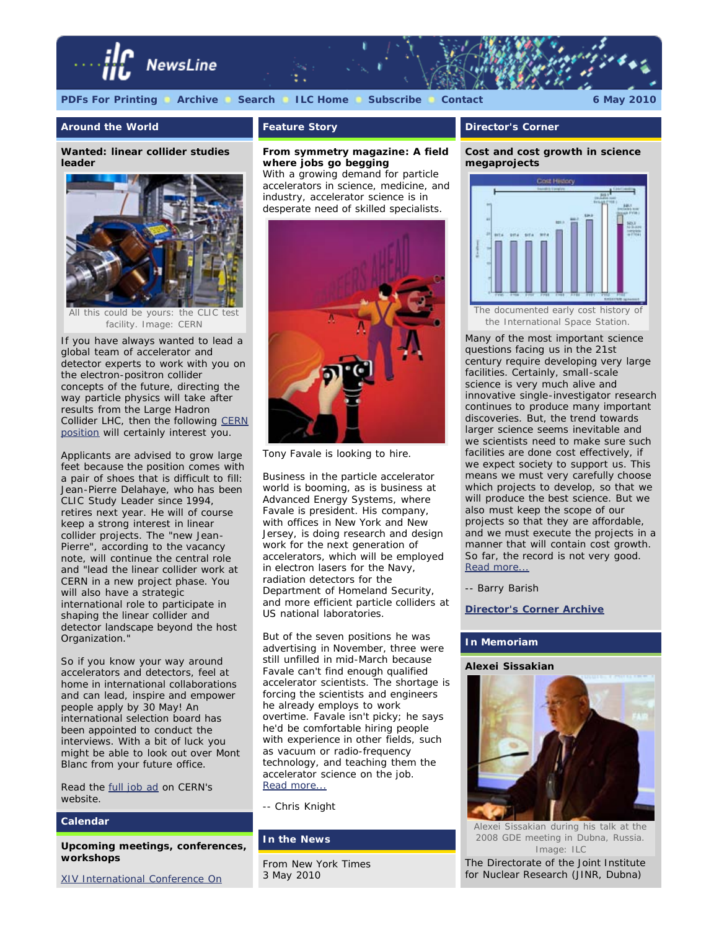

### **Around the World**

**Wanted: linear collider studies leader**



facility. *Image: CERN*

If you have always wanted to lead a global team of accelerator and detector experts to work with you on the electron-positron collider concepts of the future, directing the way particle physics will take after results from the Large Hadron Collider LHC, then the following [CERN](https://ert.cern.ch/browse_www/wd_pds?p_web_site_id=1&p_web_page_id=7753&p_no_apply=Y&p_show=N) [position](https://ert.cern.ch/browse_www/wd_pds?p_web_site_id=1&p_web_page_id=7753&p_no_apply=Y&p_show=N) will certainly interest you.

Applicants are advised to grow large feet because the position comes with a pair of shoes that is difficult to fill: Jean-Pierre Delahaye, who has been CLIC Study Leader since 1994, retires next year. He will of course keep a strong interest in linear collider projects. The "new Jean-Pierre", according to the vacancy note, will continue the central role and "lead the linear collider work at CERN in a new project phase. You will also have a strategic international role to participate in shaping the linear collider and detector landscape beyond the host Organization."

So if you know your way around accelerators and detectors, feel at home in international collaborations and can lead, inspire and empower people apply by 30 May! An international selection board has been appointed to conduct the interviews. With a bit of luck you might be able to look out over Mont Blanc from your future office.

Read the **full job ad** on CERN's website.

# **Calendar**

**Upcoming meetings, conferences, workshops**

[XIV International Conference On](http://bes3.ihep.ac.cn/conference/calor2010/)

# **Feature Story**

# *From symmetry magazine***: A field where jobs go begging**

*With a growing demand for particle accelerators in science, medicine, and industry, accelerator science is in desperate need of skilled specialists.*



Tony Favale is looking to hire.

Business in the particle accelerator world is booming, as is business at Advanced Energy Systems, where Favale is president. His company, with offices in New York and New Jersey, is doing research and design work for the next generation of accelerators, which will be employed in electron lasers for the Navy, radiation detectors for the Department of Homeland Security, and more efficient particle colliders at US national laboratories.

But of the seven positions he was advertising in November, three were still unfilled in mid-March because Favale can't find enough qualified accelerator scientists. The shortage is forcing the scientists and engineers he already employs to work overtime. Favale isn't picky; he says he'd be comfortable hiring people with experience in other fields, such as vacuum or radio-frequency technology, and teaching them the accelerator science on the job. [Read more...](http://www.symmetrymagazine.org/cms/?pid=1000802)

*-- Chris Knight*

#### **In the News**

From *New York Times* 3 May 2010

#### **Director's Corner**

## **Cost and cost growth in science megaprojects**



Many of the most important science questions facing us in the 21st century require developing very large facilities. Certainly, small-scale science is very much alive and innovative single-investigator research continues to produce many important discoveries. But, the trend towards larger science seems inevitable and we scientists need to make sure such facilities are done cost effectively, if we expect society to support us. This means we must very carefully choose which projects to develop, so that we will produce the best science. But we also must keep the scope of our projects so that they are affordable, and we must execute the projects in a manner that will contain cost growth. So far, the record is not very good. [Read more...](http://www.linearcollider.org/cms/?pid=1000765)

*-- Barry Barish*

**[Director's Corner Archive](http://www.linearcollider.org/cms/?pid=1000026)**

#### **In Memoriam**

#### **Alexei Sissakian**



Alexei Sissakian during his talk at the 2008 GDE meeting in Dubna, Russia. *Image: ILC*

The Directorate of the Joint Institute for Nuclear Research (JINR, Dubna)